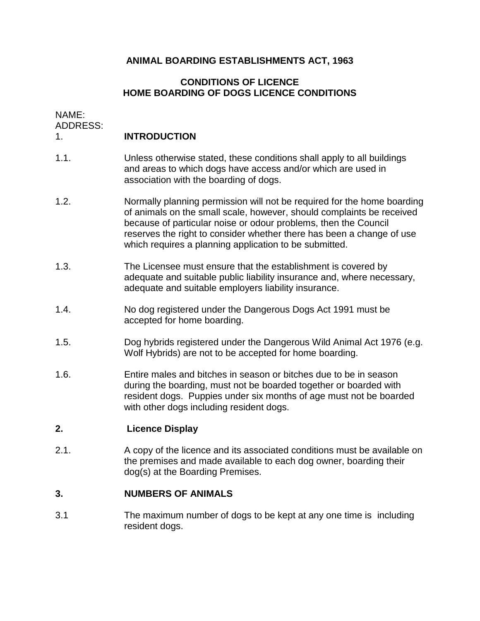## **ANIMAL BOARDING ESTABLISHMENTS ACT, 1963**

## **CONDITIONS OF LICENCE HOME BOARDING OF DOGS LICENCE CONDITIONS**

NAME:

**ADDRESS:** 

## 1. **INTRODUCTION**

- 1.1. Unless otherwise stated, these conditions shall apply to all buildings and areas to which dogs have access and/or which are used in association with the boarding of dogs.
- of animals on the small scale, however, should complaints be received 1.2. Normally planning permission will not be required for the home boarding because of particular noise or odour problems, then the Council reserves the right to consider whether there has been a change of use which requires a planning application to be submitted.
- 1.3. The Licensee must ensure that the establishment is covered by adequate and suitable public liability insurance and, where necessary, adequate and suitable employers liability insurance.
- 1.4. No dog registered under the Dangerous Dogs Act 1991 must be accepted for home boarding.
- 1.5. Dog hybrids registered under the Dangerous Wild Animal Act 1976 (e.g. Wolf Hybrids) are not to be accepted for home boarding.
- 1.6. Entire males and bitches in season or bitches due to be in season during the boarding, must not be boarded together or boarded with resident dogs. Puppies under six months of age must not be boarded with other dogs including resident dogs.

### **2. Licence Display**

2.1. A copy of the licence and its associated conditions must be available on the premises and made available to each dog owner, boarding their dog(s) at the Boarding Premises.

#### **3. NUMBERS OF ANIMALS**

3.1 The maximum number of dogs to be kept at any one time is including resident dogs.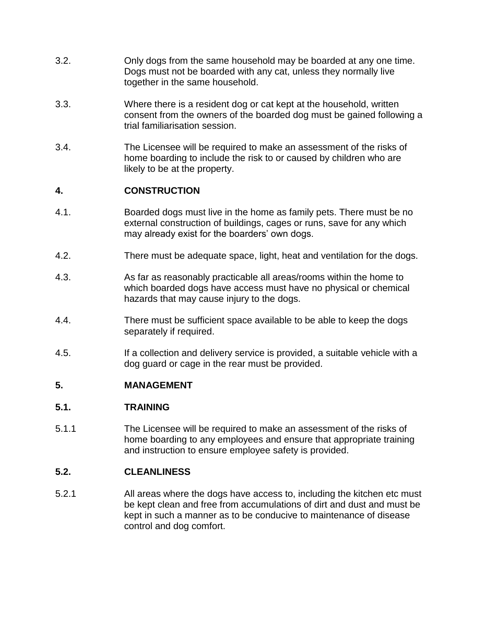- 3.2. Only dogs from the same household may be boarded at any one time. Dogs must not be boarded with any cat, unless they normally live together in the same household.
- 3.3. Where there is a resident dog or cat kept at the household, written consent from the owners of the boarded dog must be gained following a trial familiarisation session.
- 3.4. The Licensee will be required to make an assessment of the risks of home boarding to include the risk to or caused by children who are likely to be at the property.

# **4. CONSTRUCTION**

- 4.1. Boarded dogs must live in the home as family pets. There must be no external construction of buildings, cages or runs, save for any which may already exist for the boarders' own dogs.
- 4.2. There must be adequate space, light, heat and ventilation for the dogs.
- 4.3. As far as reasonably practicable all areas/rooms within the home to which boarded dogs have access must have no physical or chemical hazards that may cause injury to the dogs.
- 4.4. There must be sufficient space available to be able to keep the dogs separately if required.
- 4.5. If a collection and delivery service is provided, a suitable vehicle with a dog guard or cage in the rear must be provided.

# **5. MANAGEMENT**

### **5.1. TRAINING**

5.1.1 The Licensee will be required to make an assessment of the risks of home boarding to any employees and ensure that appropriate training and instruction to ensure employee safety is provided.

# **5.2. CLEANLINESS**

5.2.1 All areas where the dogs have access to, including the kitchen etc must be kept clean and free from accumulations of dirt and dust and must be kept in such a manner as to be conducive to maintenance of disease control and dog comfort.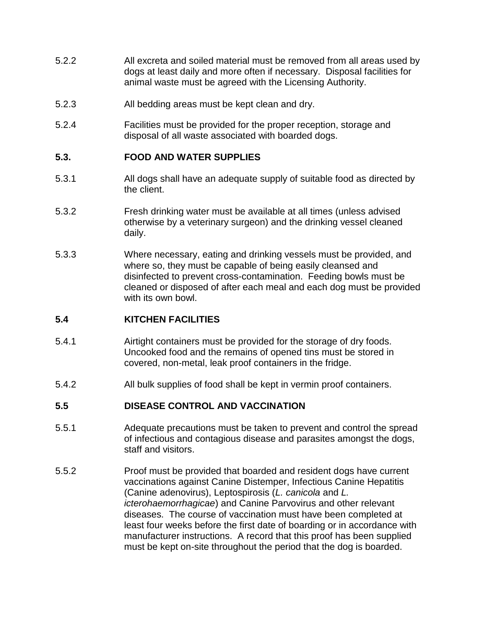- 5.2.2 All excreta and soiled material must be removed from all areas used by dogs at least daily and more often if necessary. Disposal facilities for animal waste must be agreed with the Licensing Authority.
- 5.2.3 All bedding areas must be kept clean and dry.
- 5.2.4 Facilities must be provided for the proper reception, storage and disposal of all waste associated with boarded dogs.

## **5.3. FOOD AND WATER SUPPLIES**

- 5.3.1 All dogs shall have an adequate supply of suitable food as directed by the client.
- 5.3.2 Fresh drinking water must be available at all times (unless advised otherwise by a veterinary surgeon) and the drinking vessel cleaned daily.
- 5.3.3 Where necessary, eating and drinking vessels must be provided, and where so, they must be capable of being easily cleansed and disinfected to prevent cross-contamination. Feeding bowls must be cleaned or disposed of after each meal and each dog must be provided with its own bowl.

### **5.4 KITCHEN FACILITIES**

- 5.4.1 Airtight containers must be provided for the storage of dry foods. Uncooked food and the remains of opened tins must be stored in covered, non-metal, leak proof containers in the fridge.
- 5.4.2 All bulk supplies of food shall be kept in vermin proof containers.

### **5.5 DISEASE CONTROL AND VACCINATION**

- 5.5.1 Adequate precautions must be taken to prevent and control the spread of infectious and contagious disease and parasites amongst the dogs, staff and visitors.
- 5.5.2 Proof must be provided that boarded and resident dogs have current vaccinations against Canine Distemper, Infectious Canine Hepatitis (Canine adenovirus), Leptospirosis (*L. canicola* and *L. icterohaemorrhagicae*) and Canine Parvovirus and other relevant diseases. The course of vaccination must have been completed at least four weeks before the first date of boarding or in accordance with manufacturer instructions. A record that this proof has been supplied must be kept on-site throughout the period that the dog is boarded.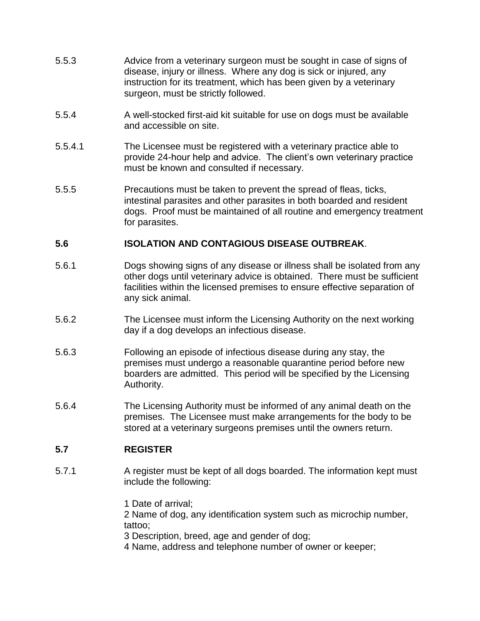- 5.5.3 Advice from a veterinary surgeon must be sought in case of signs of disease, injury or illness. Where any dog is sick or injured, any instruction for its treatment, which has been given by a veterinary surgeon, must be strictly followed.
- 5.5.4 A well-stocked first-aid kit suitable for use on dogs must be available and accessible on site.
- 5.5.4.1 The Licensee must be registered with a veterinary practice able to provide 24-hour help and advice. The client's own veterinary practice must be known and consulted if necessary.
- 5.5.5 Precautions must be taken to prevent the spread of fleas, ticks, intestinal parasites and other parasites in both boarded and resident dogs. Proof must be maintained of all routine and emergency treatment for parasites.

### **5.6 ISOLATION AND CONTAGIOUS DISEASE OUTBREAK**.

- 5.6.1 Dogs showing signs of any disease or illness shall be isolated from any other dogs until veterinary advice is obtained. There must be sufficient facilities within the licensed premises to ensure effective separation of any sick animal.
- 5.6.2 The Licensee must inform the Licensing Authority on the next working day if a dog develops an infectious disease.
- 5.6.3 Following an episode of infectious disease during any stay, the premises must undergo a reasonable quarantine period before new boarders are admitted. This period will be specified by the Licensing Authority.
- 5.6.4 The Licensing Authority must be informed of any animal death on the premises. The Licensee must make arrangements for the body to be stored at a veterinary surgeons premises until the owners return.

# **5.7 REGISTER**

5.7.1 A register must be kept of all dogs boarded. The information kept must include the following:

> 1 Date of arrival; 2 Name of dog, any identification system such as microchip number, tattoo; 3 Description, breed, age and gender of dog;

4 Name, address and telephone number of owner or keeper;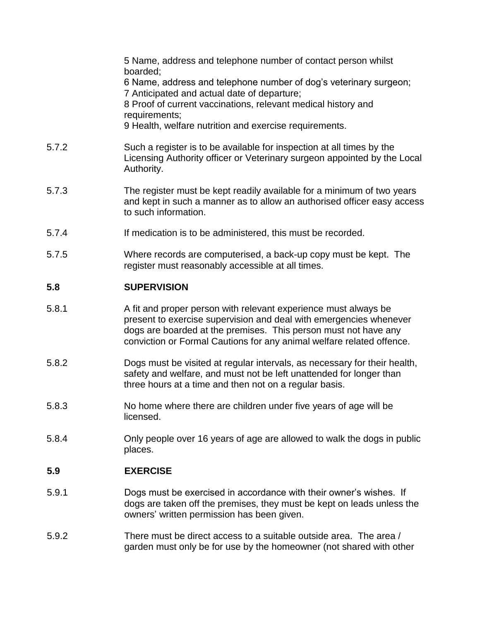|       | 5 Name, address and telephone number of contact person whilst<br>boarded;<br>6 Name, address and telephone number of dog's veterinary surgeon;<br>7 Anticipated and actual date of departure;<br>8 Proof of current vaccinations, relevant medical history and<br>requirements;<br>9 Health, welfare nutrition and exercise requirements. |
|-------|-------------------------------------------------------------------------------------------------------------------------------------------------------------------------------------------------------------------------------------------------------------------------------------------------------------------------------------------|
| 5.7.2 | Such a register is to be available for inspection at all times by the<br>Licensing Authority officer or Veterinary surgeon appointed by the Local<br>Authority.                                                                                                                                                                           |
| 5.7.3 | The register must be kept readily available for a minimum of two years<br>and kept in such a manner as to allow an authorised officer easy access<br>to such information.                                                                                                                                                                 |
| 5.7.4 | If medication is to be administered, this must be recorded.                                                                                                                                                                                                                                                                               |
| 5.7.5 | Where records are computerised, a back-up copy must be kept. The<br>register must reasonably accessible at all times.                                                                                                                                                                                                                     |
| 5.8   | <b>SUPERVISION</b>                                                                                                                                                                                                                                                                                                                        |
| 5.8.1 | A fit and proper person with relevant experience must always be<br>present to exercise supervision and deal with emergencies whenever<br>dogs are boarded at the premises. This person must not have any<br>conviction or Formal Cautions for any animal welfare related offence.                                                         |

- 5.8.2 Dogs must be visited at regular intervals, as necessary for their health, safety and welfare, and must not be left unattended for longer than three hours at a time and then not on a regular basis.
- 5.8.3 No home where there are children under five years of age will be licensed.
- 5.8.4 Only people over 16 years of age are allowed to walk the dogs in public places.

# **5.9 EXERCISE**

- 5.9.1 **Dogs must be exercised in accordance with their owner's wishes.** If dogs are taken off the premises, they must be kept on leads unless the owners' written permission has been given.
- 5.9.2 There must be direct access to a suitable outside area. The area / garden must only be for use by the homeowner (not shared with other